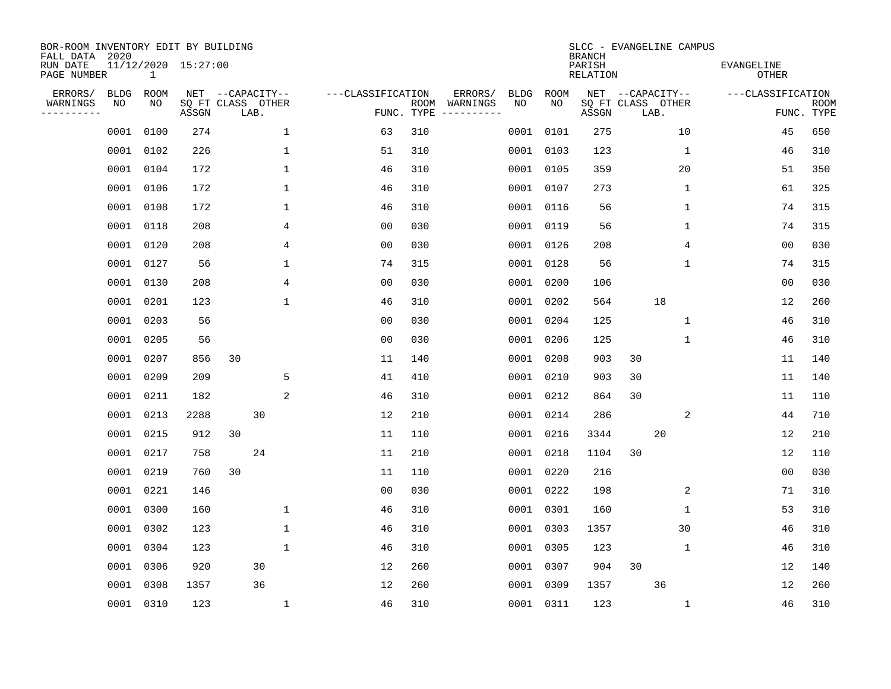| BOR-ROOM INVENTORY EDIT BY BUILDING<br>FALL DATA 2020 |             |           |                            |    |                  |              |                   |            |                              |             |             | <b>BRANCH</b>             | SLCC - EVANGELINE CAMPUS  |                            |                           |
|-------------------------------------------------------|-------------|-----------|----------------------------|----|------------------|--------------|-------------------|------------|------------------------------|-------------|-------------|---------------------------|---------------------------|----------------------------|---------------------------|
| RUN DATE<br>PAGE NUMBER                               |             | 1         | 11/12/2020 15:27:00        |    |                  |              |                   |            |                              |             |             | PARISH<br><b>RELATION</b> |                           | EVANGELINE<br><b>OTHER</b> |                           |
| ERRORS/                                               | <b>BLDG</b> | ROOM      |                            |    | NET --CAPACITY-- |              | ---CLASSIFICATION |            | ERRORS/                      | <b>BLDG</b> | <b>ROOM</b> |                           | NET --CAPACITY--          | ---CLASSIFICATION          |                           |
| WARNINGS<br>----------                                | NO          | NO        | SQ FT CLASS OTHER<br>ASSGN |    | LAB.             |              |                   | FUNC. TYPE | ROOM WARNINGS<br>----------- | NO          | NO          | ASSGN                     | SQ FT CLASS OTHER<br>LAB. |                            | <b>ROOM</b><br>FUNC. TYPE |
|                                                       | 0001        | 0100      | 274                        |    |                  | 1            | 63                | 310        |                              | 0001        | 0101        | 275                       | 10                        | 45                         | 650                       |
|                                                       |             | 0001 0102 | 226                        |    |                  | $\mathbf 1$  | 51                | 310        |                              |             | 0001 0103   | 123                       | 1                         | 46                         | 310                       |
|                                                       |             | 0001 0104 | 172                        |    |                  | $\mathbf 1$  | 46                | 310        |                              |             | 0001 0105   | 359                       | 20                        | 51                         | 350                       |
|                                                       |             | 0001 0106 | 172                        |    |                  | $\mathbf 1$  | 46                | 310        |                              |             | 0001 0107   | 273                       | 1                         | 61                         | 325                       |
|                                                       |             | 0001 0108 | 172                        |    |                  | $\mathbf{1}$ | 46                | 310        |                              |             | 0001 0116   | 56                        | $\mathbf{1}$              | 74                         | 315                       |
|                                                       |             | 0001 0118 | 208                        |    |                  | 4            | 0 <sub>0</sub>    | 030        |                              |             | 0001 0119   | 56                        | $\mathbf{1}$              | 74                         | 315                       |
|                                                       |             | 0001 0120 | 208                        |    |                  | 4            | 0 <sub>0</sub>    | 030        |                              |             | 0001 0126   | 208                       | 4                         | 0 <sub>0</sub>             | 030                       |
|                                                       |             | 0001 0127 | 56                         |    |                  | 1            | 74                | 315        |                              |             | 0001 0128   | 56                        | $\mathbf 1$               | 74                         | 315                       |
|                                                       |             | 0001 0130 | 208                        |    |                  | 4            | 0 <sub>0</sub>    | 030        |                              | 0001        | 0200        | 106                       |                           | 0 <sub>0</sub>             | 030                       |
|                                                       |             | 0001 0201 | 123                        |    |                  | $\mathbf{1}$ | 46                | 310        |                              |             | 0001 0202   | 564                       | 18                        | 12                         | 260                       |
|                                                       |             | 0001 0203 | 56                         |    |                  |              | 0 <sub>0</sub>    | 030        |                              |             | 0001 0204   | 125                       | $\mathbf 1$               | 46                         | 310                       |
|                                                       |             | 0001 0205 | 56                         |    |                  |              | 0 <sub>0</sub>    | 030        |                              |             | 0001 0206   | 125                       | $\mathbf 1$               | 46                         | 310                       |
|                                                       | 0001        | 0207      | 856                        | 30 |                  |              | 11                | 140        |                              | 0001        | 0208        | 903                       | 30                        | 11                         | 140                       |
|                                                       |             | 0001 0209 | 209                        |    |                  | 5            | 41                | 410        |                              | 0001        | 0210        | 903                       | 30                        | 11                         | 140                       |
|                                                       | 0001        | 0211      | 182                        |    |                  | 2            | 46                | 310        |                              | 0001        | 0212        | 864                       | 30                        | 11                         | 110                       |
|                                                       |             | 0001 0213 | 2288                       |    | 30               |              | 12                | 210        |                              | 0001        | 0214        | 286                       | 2                         | 44                         | 710                       |
|                                                       | 0001        | 0215      | 912                        | 30 |                  |              | 11                | 110        |                              | 0001        | 0216        | 3344                      | 20                        | 12                         | 210                       |
|                                                       | 0001        | 0217      | 758                        |    | 24               |              | 11                | 210        |                              | 0001        | 0218        | 1104                      | 30                        | 12                         | 110                       |
|                                                       |             | 0001 0219 | 760                        | 30 |                  |              | 11                | 110        |                              |             | 0001 0220   | 216                       |                           | 0 <sub>0</sub>             | 030                       |
|                                                       |             | 0001 0221 | 146                        |    |                  |              | 0 <sub>0</sub>    | 030        |                              |             | 0001 0222   | 198                       | 2                         | 71                         | 310                       |
|                                                       | 0001        | 0300      | 160                        |    |                  | $\mathbf 1$  | 46                | 310        |                              |             | 0001 0301   | 160                       | 1                         | 53                         | 310                       |
|                                                       | 0001        | 0302      | 123                        |    |                  | $\mathbf 1$  | 46                | 310        |                              |             | 0001 0303   | 1357                      | 30                        | 46                         | 310                       |
|                                                       | 0001        | 0304      | 123                        |    |                  | $\mathbf 1$  | 46                | 310        |                              |             | 0001 0305   | 123                       | 1                         | 46                         | 310                       |
|                                                       |             | 0001 0306 | 920                        |    | 30               |              | 12                | 260        |                              |             | 0001 0307   | 904                       | 30                        | 12                         | 140                       |
|                                                       | 0001        | 0308      | 1357                       |    | 36               |              | 12                | 260        |                              |             | 0001 0309   | 1357                      | 36                        | 12                         | 260                       |
|                                                       |             | 0001 0310 | 123                        |    |                  | 1            | 46                | 310        |                              |             | 0001 0311   | 123                       | $\mathbf{1}$              | 46                         | 310                       |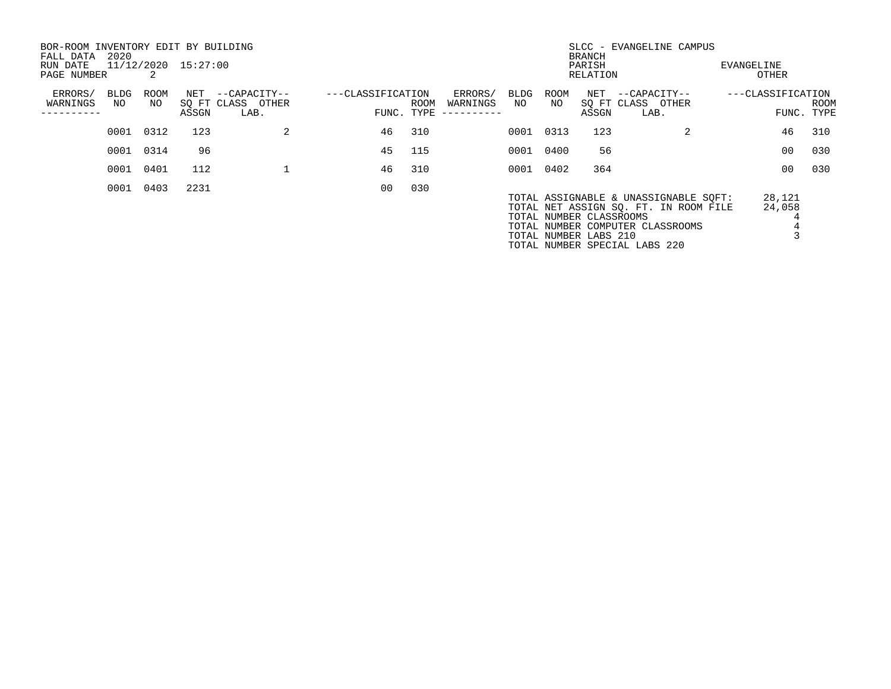| BOR-ROOM INVENTORY EDIT BY BUILDING<br>FALL DATA<br>RUN DATE | 2020       |               | 11/12/2020 15:27:00 |                                       |                   |            |                     |            |            | <b>BRANCH</b><br>PARISH                          | SLCC - EVANGELINE CAMPUS                                                                                                                            | EVANGELINE        |            |
|--------------------------------------------------------------|------------|---------------|---------------------|---------------------------------------|-------------------|------------|---------------------|------------|------------|--------------------------------------------------|-----------------------------------------------------------------------------------------------------------------------------------------------------|-------------------|------------|
| PAGE NUMBER                                                  |            | $\mathcal{L}$ |                     |                                       |                   |            |                     |            |            | RELATION                                         |                                                                                                                                                     | OTHER             |            |
| ERRORS/<br>WARNINGS                                          | BLDG<br>NO | ROOM<br>NO    |                     | NET --CAPACITY--<br>SQ FT CLASS OTHER | ---CLASSIFICATION | ROOM       | ERRORS/<br>WARNINGS | BLDG<br>NO | ROOM<br>NO |                                                  | NET --CAPACITY--<br>SQ FT CLASS OTHER                                                                                                               | ---CLASSIFICATION | ROOM       |
|                                                              |            |               | ASSGN               | LAB.                                  |                   | FUNC. TYPE | ----------          |            |            | ASSGN                                            | LAB.                                                                                                                                                |                   | FUNC. TYPE |
|                                                              | 0001       | 0312          | 123                 | 2                                     | 46                | 310        |                     |            | 0001 0313  | 123                                              | 2                                                                                                                                                   | 46                | 310        |
|                                                              |            | 0001 0314     | 96                  |                                       | 45                | 115        |                     | 0001       | 0400       | 56                                               |                                                                                                                                                     | 00                | 030        |
|                                                              | 0001       | 0401          | 112                 |                                       | 46                | 310        |                     |            | 0001 0402  | 364                                              |                                                                                                                                                     | 0 <sub>0</sub>    | 030        |
|                                                              | 0001       | 0403          | 2231                |                                       | 00                | 030        |                     |            |            | TOTAL NUMBER CLASSROOMS<br>TOTAL NUMBER LABS 210 | TOTAL ASSIGNABLE & UNASSIGNABLE SOFT:<br>TOTAL NET ASSIGN SQ. FT. IN ROOM FILE<br>TOTAL NUMBER COMPUTER CLASSROOMS<br>TOTAL NUMBER SPECIAL LABS 220 | 28,121<br>24,058  |            |